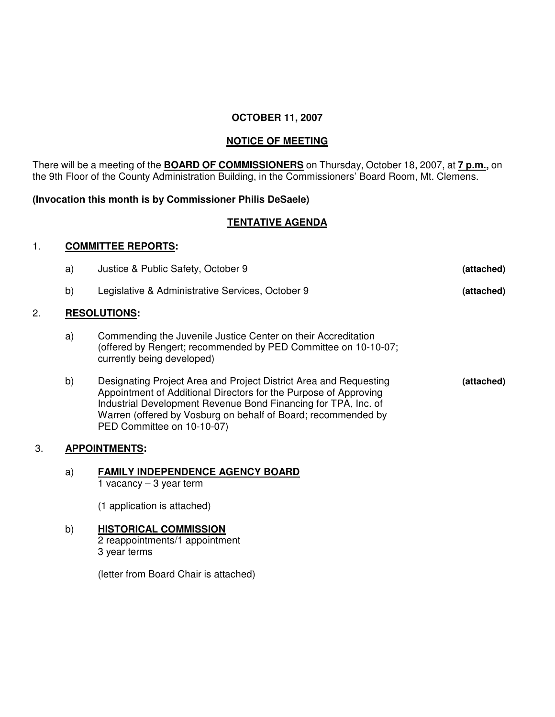### **OCTOBER 11, 2007**

## **NOTICE OF MEETING**

There will be a meeting of the **BOARD OF COMMISSIONERS** on Thursday, October 18, 2007, at **7 p.m.,** on the 9th Floor of the County Administration Building, in the Commissioners' Board Room, Mt. Clemens.

#### **(Invocation this month is by Commissioner Philis DeSaele)**

# **TENTATIVE AGENDA**

#### 1. **COMMITTEE REPORTS:**

|    | a) | Justice & Public Safety, October 9                                                                                                                                                                                                                                                                     | (attached) |  |
|----|----|--------------------------------------------------------------------------------------------------------------------------------------------------------------------------------------------------------------------------------------------------------------------------------------------------------|------------|--|
|    | b) | Legislative & Administrative Services, October 9                                                                                                                                                                                                                                                       | (attached) |  |
| 2. |    | <b>RESOLUTIONS:</b>                                                                                                                                                                                                                                                                                    |            |  |
|    | a) | Commending the Juvenile Justice Center on their Accreditation<br>(offered by Rengert; recommended by PED Committee on 10-10-07;<br>currently being developed)                                                                                                                                          |            |  |
|    | b) | Designating Project Area and Project District Area and Requesting<br>Appointment of Additional Directors for the Purpose of Approving<br>Industrial Development Revenue Bond Financing for TPA, Inc. of<br>Warren (offered by Vosburg on behalf of Board; recommended by<br>PED Committee on 10-10-07) | (attached) |  |
| 3. |    | <b>APPOINTMENTS:</b>                                                                                                                                                                                                                                                                                   |            |  |

a) **FAMILY INDEPENDENCE AGENCY BOARD** 1 vacancy  $-3$  year term

(1 application is attached)

# b) **HISTORICAL COMMISSION**

2 reappointments/1 appointment 3 year terms

(letter from Board Chair is attached)